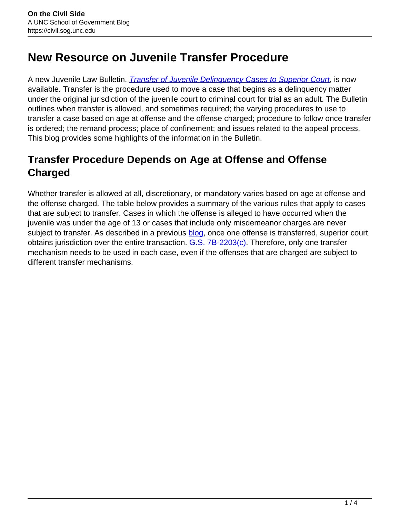# **New Resource on Juvenile Transfer Procedure**

A new Juvenile Law Bulletin, *[Transfer of Juvenile Delinquency Cases to Superior Court](https://www.sog.unc.edu/sites/www.sog.unc.edu/files/reports/JLB%2022-01.pdf)*, is now available. Transfer is the procedure used to move a case that begins as a delinquency matter under the original jurisdiction of the juvenile court to criminal court for trial as an adult. The Bulletin outlines when transfer is allowed, and sometimes required; the varying procedures to use to transfer a case based on age at offense and the offense charged; procedure to follow once transfer is ordered; the remand process; place of confinement; and issues related to the appeal process. This blog provides some highlights of the information in the Bulletin.

### **Transfer Procedure Depends on Age at Offense and Offense Charged**

Whether transfer is allowed at all, discretionary, or mandatory varies based on age at offense and the offense charged. The table below provides a summary of the various rules that apply to cases that are subject to transfer. Cases in which the offense is alleged to have occurred when the juvenile was under the age of 13 or cases that include only misdemeanor charges are never subject to transfer. As described in a previous **blog**, once one offense is transferred, superior court obtains jurisdiction over the entire transaction. G.S. 7B-2203(c). Therefore, only one transfer mechanism needs to be used in each case, even if the offenses that are charged are subject to different transfer mechanisms.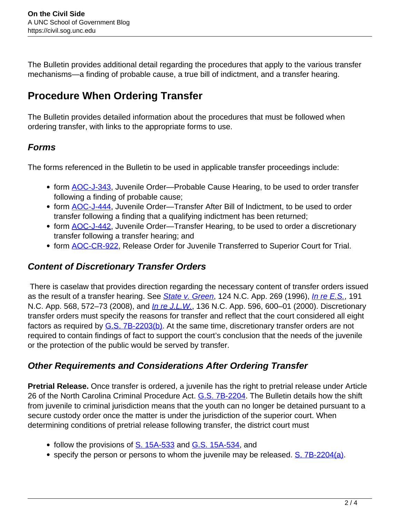The Bulletin provides additional detail regarding the procedures that apply to the various transfer mechanisms—a finding of probable cause, a true bill of indictment, and a transfer hearing.

### **Procedure When Ordering Transfer**

The Bulletin provides detailed information about the procedures that must be followed when ordering transfer, with links to the appropriate forms to use.

#### **Forms**

The forms referenced in the Bulletin to be used in applicable transfer proceedings include:

- form **AOC-J-343**, Juvenile Order—Probable Cause Hearing, to be used to order transfer following a finding of probable cause;
- form **AOC-J-444**, Juvenile Order—Transfer After Bill of Indictment, to be used to order transfer following a finding that a qualifying indictment has been returned;
- form **AOC-J-442**, Juvenile Order—Transfer Hearing, to be used to order a discretionary transfer following a transfer hearing; and
- form **AOC-CR-922**, Release Order for Juvenile Transferred to Superior Court for Trial.

#### **Content of Discretionary Transfer Orders**

There is caselaw that provides direction regarding the necessary content of transfer orders issued as the result of a transfer hearing. See State v. Green, 124 N.C. App. 269 (1996), *In re E.S.*, 191 N.C. App. 568, 572–73 (2008), and *In re J.L.W.*, 136 N.C. App. 596, 600–01 (2000). Discretionary transfer orders must specify the reasons for transfer and reflect that the court considered all eight factors as required by G.S. 7B-2203(b). At the same time, discretionary transfer orders are not required to contain findings of fact to support the court's conclusion that the needs of the juvenile or the protection of the public would be served by transfer.

#### **Other Requirements and Considerations After Ordering Transfer**

**Pretrial Release.** Once transfer is ordered, a juvenile has the right to pretrial release under Article 26 of the North Carolina Criminal Procedure Act. G.S. 7B-2204. The Bulletin details how the shift from juvenile to criminal jurisdiction means that the youth can no longer be detained pursuant to a secure custody order once the matter is under the jurisdiction of the superior court. When determining conditions of pretrial release following transfer, the district court must

- follow the provisions of  $S. 15A-533$  and  $G.S. 15A-534$ , and
- specify the person or persons to whom the juvenile may be released. S. 7B-2204(a).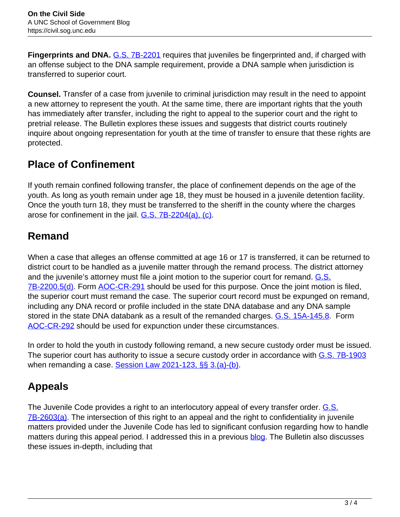**Fingerprints and DNA.** G.S. 7B-2201 requires that juveniles be fingerprinted and, if charged with an offense subject to the DNA sample requirement, provide a DNA sample when jurisdiction is transferred to superior court.

**Counsel.** Transfer of a case from juvenile to criminal jurisdiction may result in the need to appoint a new attorney to represent the youth. At the same time, there are important rights that the youth has immediately after transfer, including the right to appeal to the superior court and the right to pretrial release. The Bulletin explores these issues and suggests that district courts routinely inquire about ongoing representation for youth at the time of transfer to ensure that these rights are protected.

### **Place of Confinement**

If youth remain confined following transfer, the place of confinement depends on the age of the youth. As long as youth remain under age 18, they must be housed in a juvenile detention facility. Once the youth turn 18, they must be transferred to the sheriff in the county where the charges arose for confinement in the jail. G.S. 7B-2204(a), (c).

## **Remand**

When a case that alleges an offense committed at age 16 or 17 is transferred, it can be returned to district court to be handled as a juvenile matter through the remand process. The district attorney and the juvenile's attorney must file a joint motion to the superior court for remand. G.S. 7B-2200.5(d). Form AOC-CR-291 should be used for this purpose. Once the joint motion is filed, the superior court must remand the case. The superior court record must be expunged on remand, including any DNA record or profile included in the state DNA database and any DNA sample stored in the state DNA databank as a result of the remanded charges. G.S. 15A-145.8. Form AOC-CR-292 should be used for expunction under these circumstances.

In order to hold the youth in custody following remand, a new secure custody order must be issued. The superior court has authority to issue a secure custody order in accordance with G.S. 7B-1903 when remanding a case. Session Law 2021-123, §§ 3.(a)-(b).

## **Appeals**

The Juvenile Code provides a right to an interlocutory appeal of every transfer order. G.S. 7B-2603(a). The intersection of this right to an appeal and the right to confidentiality in juvenile matters provided under the Juvenile Code has led to significant confusion regarding how to handle matters during this appeal period. I addressed this in a previous blog. The Bulletin also discusses these issues in-depth, including that